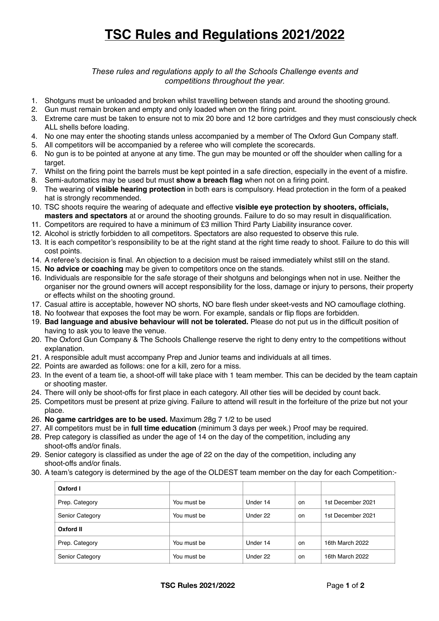## **TSC Rules and Regulations 2021/2022**

*These rules and regulations apply to all the Schools Challenge events and competitions throughout the year.* 

- 1. Shotguns must be unloaded and broken whilst travelling between stands and around the shooting ground.
- 2. Gun must remain broken and empty and only loaded when on the firing point.
- 3. Extreme care must be taken to ensure not to mix 20 bore and 12 bore cartridges and they must consciously check ALL shells before loading.
- 4. No one may enter the shooting stands unless accompanied by a member of The Oxford Gun Company staff.
- 5. All competitors will be accompanied by a referee who will complete the scorecards.
- 6. No gun is to be pointed at anyone at any time. The gun may be mounted or off the shoulder when calling for a target.
- 7. Whilst on the firing point the barrels must be kept pointed in a safe direction, especially in the event of a misfire.
- 8. Semi-automatics may be used but must **show a breach flag** when not on a firing point.
- 9. The wearing of **visible hearing protection** in both ears is compulsory. Head protection in the form of a peaked hat is strongly recommended.
- 10. TSC shoots require the wearing of adequate and effective **visible eye protection by shooters, officials, masters and spectators** at or around the shooting grounds. Failure to do so may result in disqualification.
- 11. Competitors are required to have a minimum of £3 million Third Party Liability insurance cover.
- 12. Alcohol is strictly forbidden to all competitors. Spectators are also requested to observe this rule.
- 13. It is each competitor's responsibility to be at the right stand at the right time ready to shoot. Failure to do this will cost points.
- 14. A referee's decision is final. An objection to a decision must be raised immediately whilst still on the stand.
- 15. **No advice or coaching** may be given to competitors once on the stands.
- 16. Individuals are responsible for the safe storage of their shotguns and belongings when not in use. Neither the organiser nor the ground owners will accept responsibility for the loss, damage or injury to persons, their property or effects whilst on the shooting ground.
- 17. Casual attire is acceptable, however NO shorts, NO bare flesh under skeet-vests and NO camouflage clothing.
- 18. No footwear that exposes the foot may be worn. For example, sandals or flip flops are forbidden.
- 19. **Bad language and abusive behaviour will not be tolerated.** Please do not put us in the difficult position of having to ask you to leave the venue.
- 20. The Oxford Gun Company & The Schools Challenge reserve the right to deny entry to the competitions without explanation.
- 21. A responsible adult must accompany Prep and Junior teams and individuals at all times.
- 22. Points are awarded as follows: one for a kill, zero for a miss.
- 23. In the event of a team tie, a shoot-off will take place with 1 team member. This can be decided by the team captain or shooting master.
- 24. There will only be shoot-offs for first place in each category. All other ties will be decided by count back.
- 25. Competitors must be present at prize giving. Failure to attend will result in the forfeiture of the prize but not your place.
- 26. **No game cartridges are to be used.** Maximum 28g 7 1/2 to be used
- 27. All competitors must be in **full time education** (minimum 3 days per week.) Proof may be required.
- 28. Prep category is classified as under the age of 14 on the day of the competition, including any shoot-offs and/or finals.
- 29. Senior category is classified as under the age of 22 on the day of the competition, including any shoot-offs and/or finals.
- 30. A team's category is determined by the age of the OLDEST team member on the day for each Competition:-

| Oxford I               |             |          |           |                   |
|------------------------|-------------|----------|-----------|-------------------|
| Prep. Category         | You must be | Under 14 | on.       | 1st December 2021 |
| <b>Senior Category</b> | You must be | Under 22 | <b>on</b> | 1st December 2021 |
| Oxford II              |             |          |           |                   |
| Prep. Category         | You must be | Under 14 | <b>on</b> | 16th March 2022   |
| <b>Senior Category</b> | You must be | Under 22 | on        | 16th March 2022   |